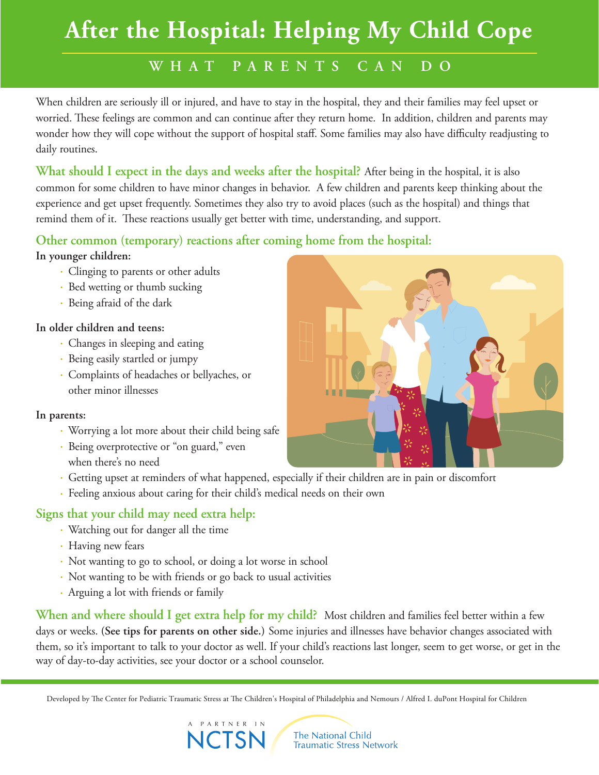# **After the Hospital: Helping My Child Cope**

### **W H A T P ARE N T S CAN D O**

When children are seriously ill or injured, and have to stay in the hospital, they and their families may feel upset or worried. These feelings are common and can continue after they return home. In addition, children and parents may wonder how they will cope without the support of hospital staff. Some families may also have difficulty readjusting to daily routines.

**What should I expect in the days and weeks after the hospital?** After being in the hospital, it is also common for some children to have minor changes in behavior. A few children and parents keep thinking about the experience and get upset frequently. Sometimes they also try to avoid places (such as the hospital) and things that remind them of it. These reactions usually get better with time, understanding, and support.

#### **Other common (temporary) reactions after coming home from the hospital:**

#### **In younger children:**

- Clinging to parents or other adults
- Bed wetting or thumb sucking
- Being afraid of the dark

#### **In older children and teens:**

- Changes in sleeping and eating
- Being easily startled or jumpy
- Complaints of headaches or bellyaches, or other minor illnesses

#### **In parents:**

- Worrying a lot more about their child being safe
- Being overprotective or "on guard," even when there's no need
- Getting upset at reminders of what happened, especially if their children are in pain or discomfort
- Feeling anxious about caring for their child's medical needs on their own

A PARTNER IN

**NCTSM** 

#### **Signs that your child may need extra help:**

- Watching out for danger all the time
- Having new fears
- Not wanting to go to school, or doing a lot worse in school
- Not wanting to be with friends or go back to usual activities
- Arguing a lot with friends or family

**When and where should I get extra help for my child?** Most children and families feel better within a few days or weeks. **(See tips for parents on other side.)** Some injuries and illnesses have behavior changes associated with them, so it's important to talk to your doctor as well. If your child's reactions last longer, seem to get worse, or get in the way of day-to-day activities, see your doctor or a school counselor.

Developed by The Center for Pediatric Traumatic Stress at The Children's Hospital of Philadelphia and Nemours / Alfred I. duPont Hospital for Children

The National Child Traumatic Stress Network